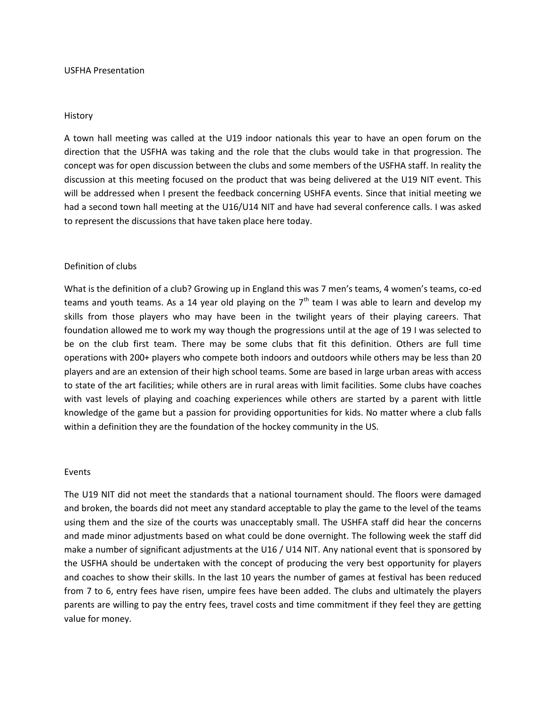### History

A town hall meeting was called at the U19 indoor nationals this year to have an open forum on the direction that the USFHA was taking and the role that the clubs would take in that progression. The concept was for open discussion between the clubs and some members of the USFHA staff. In reality the discussion at this meeting focused on the product that was being delivered at the U19 NIT event. This will be addressed when I present the feedback concerning USHFA events. Since that initial meeting we had a second town hall meeting at the U16/U14 NIT and have had several conference calls. I was asked to represent the discussions that have taken place here today.

## Definition of clubs

What is the definition of a club? Growing up in England this was 7 men's teams, 4 women's teams, co-ed teams and youth teams. As a 14 year old playing on the  $7<sup>th</sup>$  team I was able to learn and develop my skills from those players who may have been in the twilight years of their playing careers. That foundation allowed me to work my way though the progressions until at the age of 19 I was selected to be on the club first team. There may be some clubs that fit this definition. Others are full time operations with 200+ players who compete both indoors and outdoors while others may be less than 20 players and are an extension of their high school teams. Some are based in large urban areas with access to state of the art facilities; while others are in rural areas with limit facilities. Some clubs have coaches with vast levels of playing and coaching experiences while others are started by a parent with little knowledge of the game but a passion for providing opportunities for kids. No matter where a club falls within a definition they are the foundation of the hockey community in the US.

#### Events

The U19 NIT did not meet the standards that a national tournament should. The floors were damaged and broken, the boards did not meet any standard acceptable to play the game to the level of the teams using them and the size of the courts was unacceptably small. The USHFA staff did hear the concerns and made minor adjustments based on what could be done overnight. The following week the staff did make a number of significant adjustments at the U16 / U14 NIT. Any national event that is sponsored by the USFHA should be undertaken with the concept of producing the very best opportunity for players and coaches to show their skills. In the last 10 years the number of games at festival has been reduced from 7 to 6, entry fees have risen, umpire fees have been added. The clubs and ultimately the players parents are willing to pay the entry fees, travel costs and time commitment if they feel they are getting value for money.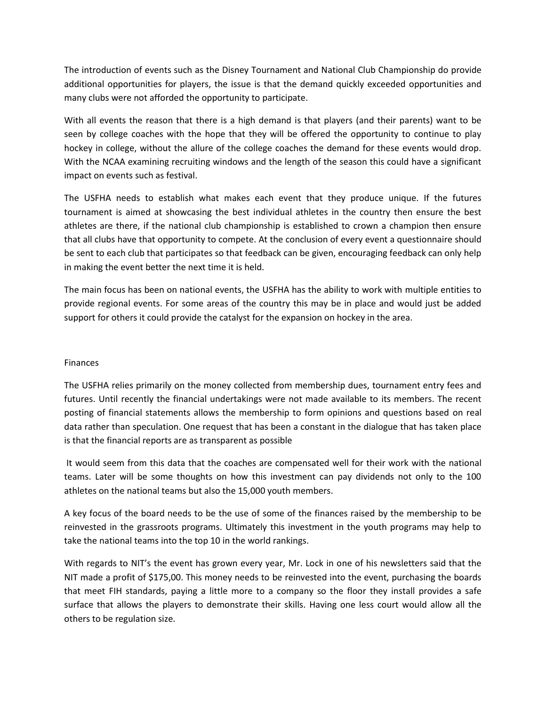The introduction of events such as the Disney Tournament and National Club Championship do provide additional opportunities for players, the issue is that the demand quickly exceeded opportunities and many clubs were not afforded the opportunity to participate.

With all events the reason that there is a high demand is that players (and their parents) want to be seen by college coaches with the hope that they will be offered the opportunity to continue to play hockey in college, without the allure of the college coaches the demand for these events would drop. With the NCAA examining recruiting windows and the length of the season this could have a significant impact on events such as festival.

The USFHA needs to establish what makes each event that they produce unique. If the futures tournament is aimed at showcasing the best individual athletes in the country then ensure the best athletes are there, if the national club championship is established to crown a champion then ensure that all clubs have that opportunity to compete. At the conclusion of every event a questionnaire should be sent to each club that participates so that feedback can be given, encouraging feedback can only help in making the event better the next time it is held.

The main focus has been on national events, the USFHA has the ability to work with multiple entities to provide regional events. For some areas of the country this may be in place and would just be added support for others it could provide the catalyst for the expansion on hockey in the area.

# Finances

The USFHA relies primarily on the money collected from membership dues, tournament entry fees and futures. Until recently the financial undertakings were not made available to its members. The recent posting of financial statements allows the membership to form opinions and questions based on real data rather than speculation. One request that has been a constant in the dialogue that has taken place is that the financial reports are as transparent as possible

It would seem from this data that the coaches are compensated well for their work with the national teams. Later will be some thoughts on how this investment can pay dividends not only to the 100 athletes on the national teams but also the 15,000 youth members.

A key focus of the board needs to be the use of some of the finances raised by the membership to be reinvested in the grassroots programs. Ultimately this investment in the youth programs may help to take the national teams into the top 10 in the world rankings.

With regards to NIT's the event has grown every year, Mr. Lock in one of his newsletters said that the NIT made a profit of \$175,00. This money needs to be reinvested into the event, purchasing the boards that meet FIH standards, paying a little more to a company so the floor they install provides a safe surface that allows the players to demonstrate their skills. Having one less court would allow all the others to be regulation size.